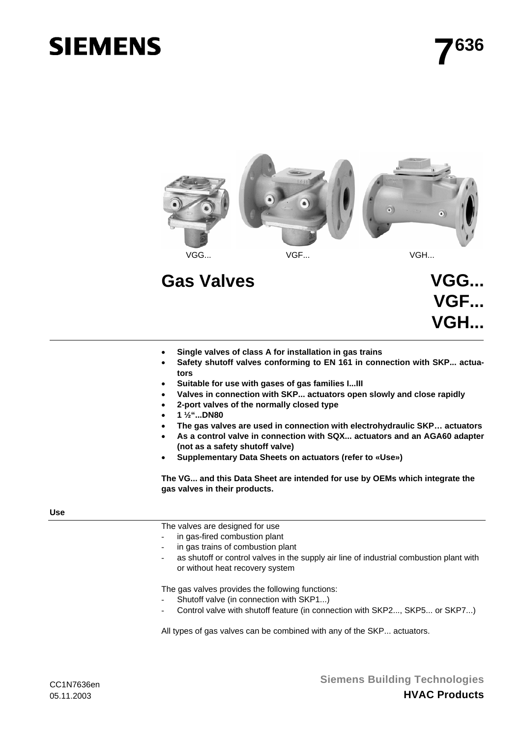# **SIEMENS**



## Gas Valves **VGG...**

- **VGF... VGH...**
- **Single valves of class A for installation in gas trains**
- Safety shutoff valves conforming to EN 161 in connection with SKP... actua**tors**
- **Suitable for use with gases of gas families I...III**
- **Valves in connection with SKP... actuators open slowly and close rapidly**
- **2-port valves of the normally closed type**
- **1 ½"...DN80**
- **The gas valves are used in connection with electrohydraulic SKP… actuators**
- **As a control valve in connection with SQX... actuators and an AGA60 adapter (not as a safety shutoff valve)**
- **Supplementary Data Sheets on actuators (refer to «Use»)**

**The VG... and this Data Sheet are intended for use by OEMs which integrate the gas valves in their products.** 

#### **Use**

The valves are designed for use

- in gas-fired combustion plant
- in gas trains of combustion plant
- as shutoff or control valves in the supply air line of industrial combustion plant with or without heat recovery system

The gas valves provides the following functions:

- Shutoff valve (in connection with SKP1...)
- Control valve with shutoff feature (in connection with SKP2..., SKP5... or SKP7...)

All types of gas valves can be combined with any of the SKP... actuators.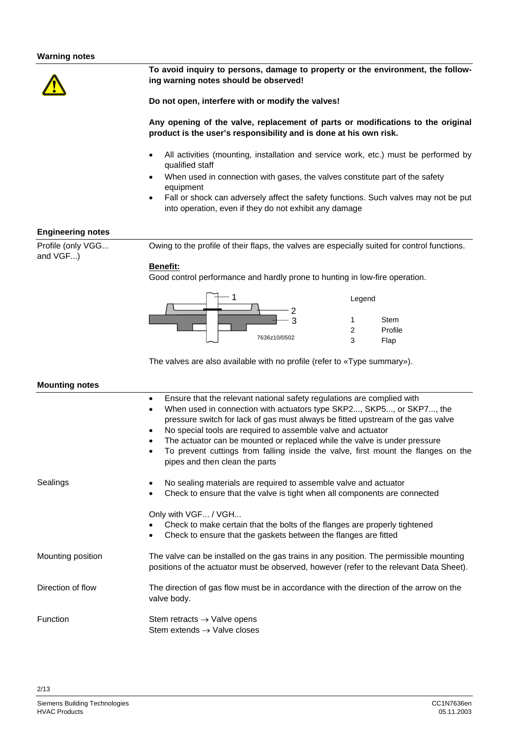

**To avoid inquiry to persons, damage to property or the environment, the following warning notes should be observed!** 

**Do not open, interfere with or modify the valves!** 

**Any opening of the valve, replacement of parts or modifications to the original product is the user's responsibility and is done at his own risk.** 

- All activities (mounting, installation and service work, etc.) must be performed by qualified staff
- When used in connection with gases, the valves constitute part of the safety equipment
- Fall or shock can adversely affect the safety functions. Such valves may not be put into operation, even if they do not exhibit any damage

#### **Engineering notes**

Profile (only VGG... and VGF...)

Owing to the profile of their flaps, the valves are especially suited for control functions.

#### **Benefit:**

Good control performance and hardly prone to hunting in low-fire operation.



The valves are also available with no profile (refer to «Type summary»).

#### **Mounting notes**

|                   | Ensure that the relevant national safety regulations are complied with<br>$\bullet$<br>When used in connection with actuators type SKP2, SKP5, or SKP7, the<br>pressure switch for lack of gas must always be fitted upstream of the gas valve<br>No special tools are required to assemble valve and actuator<br>٠<br>The actuator can be mounted or replaced while the valve is under pressure<br>To prevent cuttings from falling inside the valve, first mount the flanges on the<br>pipes and then clean the parts |
|-------------------|-------------------------------------------------------------------------------------------------------------------------------------------------------------------------------------------------------------------------------------------------------------------------------------------------------------------------------------------------------------------------------------------------------------------------------------------------------------------------------------------------------------------------|
| Sealings          | No sealing materials are required to assemble valve and actuator<br>Check to ensure that the valve is tight when all components are connected                                                                                                                                                                                                                                                                                                                                                                           |
|                   | Only with VGF / VGH<br>Check to make certain that the bolts of the flanges are properly tightened<br>Check to ensure that the gaskets between the flanges are fitted                                                                                                                                                                                                                                                                                                                                                    |
| Mounting position | The valve can be installed on the gas trains in any position. The permissible mounting<br>positions of the actuator must be observed, however (refer to the relevant Data Sheet).                                                                                                                                                                                                                                                                                                                                       |
| Direction of flow | The direction of gas flow must be in accordance with the direction of the arrow on the<br>valve body.                                                                                                                                                                                                                                                                                                                                                                                                                   |
| Function          | Stem retracts $\rightarrow$ Valve opens<br>Stem extends $\rightarrow$ Valve closes                                                                                                                                                                                                                                                                                                                                                                                                                                      |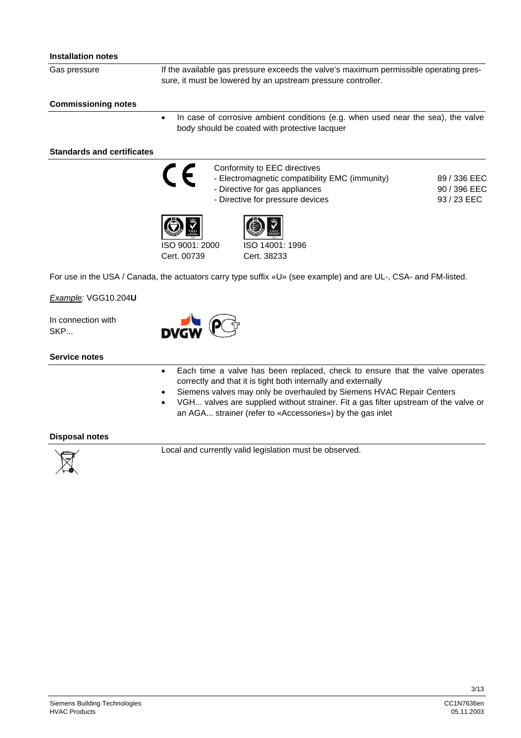#### **Installation notes**

Gas pressure

If the available gas pressure exceeds the valve's maximum permissible operating pressure, it must be lowered by an upstream pressure controller.

#### **Commissioning notes**

• In case of corrosive ambient conditions (e.g. when used near the sea), the valve body should be coated with protective lacquer

#### **Standards and certificates**

Conformity to EEC directives

- Electromagnetic compatibility EMC (immunity)

- Directive for gas appliances
- Directive for pressure devices







Cert. 00739

ISO 14001: 1996 Cert. 38233

For use in the USA / Canada, the actuators carry type suffix «U» (see example) and are UL-, CSA- and FM-listed.

*Example:* VGG10.204**U**

In connection with SKP...



#### **Service notes**

- Each time a valve has been replaced, check to ensure that the valve operates correctly and that it is tight both internally and externally
- Siemens valves may only be overhauled by Siemens HVAC Repair Centers
- VGH... valves are supplied without strainer. Fit a gas filter upstream of the valve or an AGA... strainer (refer to «Accessories») by the gas inlet

#### **Disposal notes**



Local and currently valid legislation must be observed.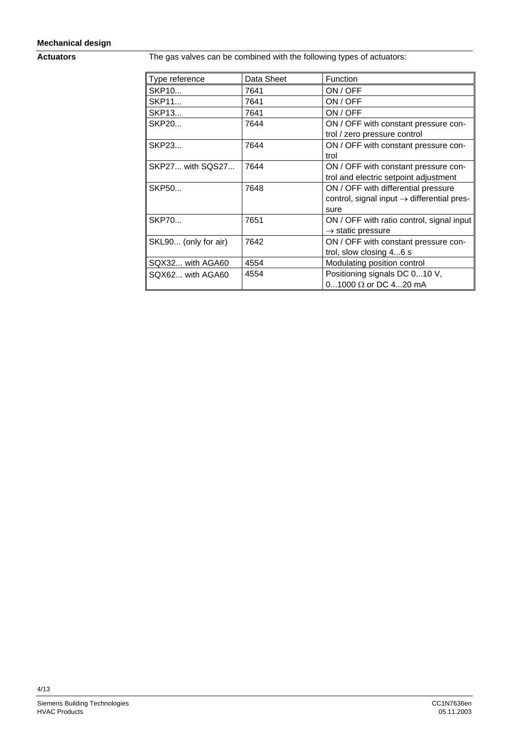#### **Mechanical design**

**Actuators** 

The gas valves can be combined with the following types of actuators:

| Type reference          | Data Sheet | Function                                               |
|-------------------------|------------|--------------------------------------------------------|
| SKP10                   | 7641       | ON / OFF                                               |
| SKP11                   | 7641       | ON / OFF                                               |
| SKP13                   | 7641       | ON / OFF                                               |
| SKP20                   | 7644       | ON / OFF with constant pressure con-                   |
|                         |            | trol / zero pressure control                           |
| SKP23                   | 7644       | ON / OFF with constant pressure con-                   |
|                         |            | trol                                                   |
| <b>SKP27 with SQS27</b> | 7644       | ON / OFF with constant pressure con-                   |
|                         |            | trol and electric setpoint adjustment                  |
| SKP50                   | 7648       | ON / OFF with differential pressure                    |
|                         |            | control, signal input $\rightarrow$ differential pres- |
|                         |            | sure                                                   |
| <b>SKP70</b>            | 7651       | ON / OFF with ratio control, signal input              |
|                         |            | $\rightarrow$ static pressure                          |
| SKL90 (only for air)    | 7642       | ON / OFF with constant pressure con-                   |
|                         |            | trol, slow closing 46 s                                |
| SQX32 with AGA60        | 4554       | Modulating position control                            |
| SQX62 with AGA60        | 4554       | Positioning signals DC 010 V,                          |
|                         |            | 01000 Ω or DC 420 mA                                   |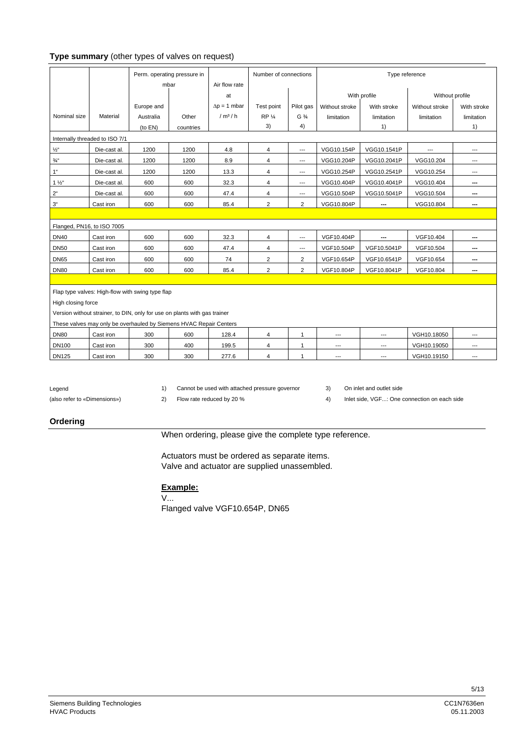#### **Type summary** (other types of valves on request)

|                            |                                                                           |            | Perm. operating pressure in |                     | Number of connections |                | Type reference |                |                  |             |  |  |  |
|----------------------------|---------------------------------------------------------------------------|------------|-----------------------------|---------------------|-----------------------|----------------|----------------|----------------|------------------|-------------|--|--|--|
|                            |                                                                           | mbar       |                             | Air flow rate       |                       |                |                |                |                  |             |  |  |  |
|                            |                                                                           |            |                             | at                  |                       |                |                | With profile   | Without profile  |             |  |  |  |
|                            |                                                                           | Europe and |                             | $\Delta p = 1$ mbar | Test point            | Pilot gas      | Without stroke | With stroke    | Without stroke   | With stroke |  |  |  |
| Nominal size               | Material                                                                  | Australia  | Other                       | /m <sup>3</sup> /h  | <b>RP 1/4</b>         | $G\frac{3}{4}$ | limitation     | limitation     | limitation       | limitation  |  |  |  |
|                            |                                                                           | (to EN)    | countries                   |                     | 3)                    | 4)             |                | 1)             |                  | 1)          |  |  |  |
|                            | Internally threaded to ISO 7/1                                            |            |                             |                     |                       |                |                |                |                  |             |  |  |  |
| $1/2$ "                    | Die-cast al.                                                              | 1200       | 1200                        | 4.8                 | $\overline{4}$        | $\overline{a}$ | VGG10.154P     | VGG10.1541P    | $\overline{a}$   | ---         |  |  |  |
| $\frac{3}{4}$              | Die-cast al.                                                              | 1200       | 1200                        | 8.9                 | 4                     | ---            | VGG10.204P     | VGG10.2041P    | VGG10.204        | ---         |  |  |  |
| 1 <sup>u</sup>             | Die-cast al.                                                              | 1200       | 1200                        | 13.3                | 4                     | ---            | VGG10.254P     | VGG10.2541P    | VGG10.254        | ---         |  |  |  |
| $1\frac{1}{2}$             | Die-cast al.                                                              | 600        | 600                         | 32.3                | 4                     | ---            | VGG10.404P     | VGG10.4041P    | VGG10.404        | ---         |  |  |  |
| $2^{\mathfrak{a}}$         | Die-cast al.                                                              | 600        | 600                         | 47.4                | 4                     | ---            | VGG10.504P     | VGG10.5041P    | VGG10.504        | ---         |  |  |  |
| $3^\circ$                  | Cast iron                                                                 | 600<br>600 |                             | 85.4                | $\overline{2}$        | $\overline{2}$ | VGG10.804P     | ---            | VGG10.804        | ---         |  |  |  |
|                            |                                                                           |            |                             |                     |                       |                |                |                |                  |             |  |  |  |
| Flanged, PN16, to ISO 7005 |                                                                           |            |                             |                     |                       |                |                |                |                  |             |  |  |  |
| <b>DN40</b>                | Cast iron                                                                 | 600        | 600                         | 32.3                | 4                     | ---            | VGF10.404P     |                | VGF10.404        | ---         |  |  |  |
| <b>DN50</b>                | Cast iron                                                                 | 600        | 600                         | 47.4                | 4                     | ---            | VGF10.504P     | VGF10.5041P    | VGF10.504        | ---         |  |  |  |
| <b>DN65</b>                | Cast iron                                                                 | 600        | 600                         | 74                  | $\overline{2}$        | $\overline{2}$ | VGF10.654P     | VGF10.6541P    | VGF10.654<br>--- |             |  |  |  |
| <b>DN80</b>                | Cast iron                                                                 | 600        | 600                         | 85.4                | $\overline{2}$        | $\overline{2}$ | VGF10.804P     | VGF10.8041P    | VGF10.804        | ---         |  |  |  |
|                            |                                                                           |            |                             |                     |                       |                |                |                |                  |             |  |  |  |
|                            | Flap type valves: High-flow with swing type flap                          |            |                             |                     |                       |                |                |                |                  |             |  |  |  |
| High closing force         |                                                                           |            |                             |                     |                       |                |                |                |                  |             |  |  |  |
|                            | Version without strainer, to DIN, only for use on plants with gas trainer |            |                             |                     |                       |                |                |                |                  |             |  |  |  |
|                            | These valves may only be overhauled by Siemens HVAC Repair Centers        |            |                             |                     |                       |                |                |                |                  |             |  |  |  |
| <b>DN80</b>                | Cast iron                                                                 | 300        | 600                         | 128.4               | 4                     | $\mathbf{1}$   | ---            | $\overline{a}$ | VGH10.18050      | ---         |  |  |  |
| <b>DN100</b>               | Cast iron                                                                 | 300        | 400<br>199.5                |                     | 4                     | 1              | ---            | $\cdots$       | VGH10.19050      | ---         |  |  |  |
| <b>DN125</b>               | Cast iron                                                                 | 300        | 300                         | 277.6               | 4                     | 1              | ---            | $---$          | VGH10.19150      | ---         |  |  |  |

Legend

1) Cannot be used with attached pressure governor 3) On inlet and outlet side

2) Flow rate reduced by 20 % 4) Inlet side, VGF...: One connection on each side

#### **Ordering**

(also refer to «Dimensions»)

#### When ordering, please give the complete type reference.

Actuators must be ordered as separate items. Valve and actuator are supplied unassembled.

#### **Example:**

V...

Flanged valve VGF10.654P, DN65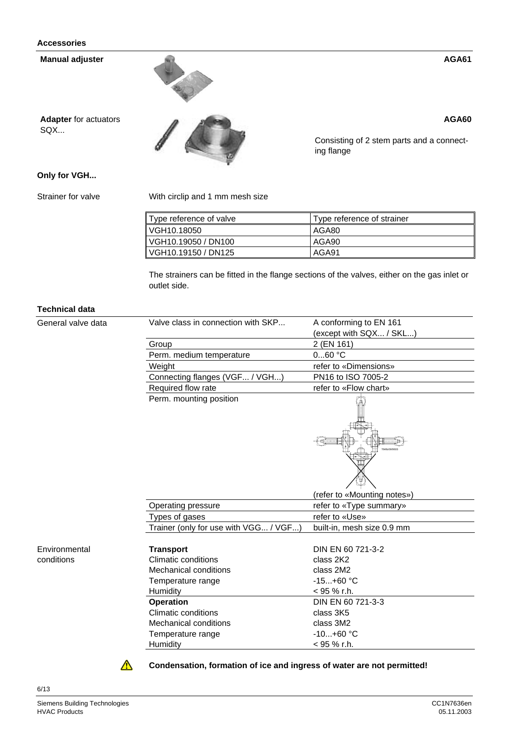Manual adjuster<br>
Adapter for actuators<br>
SQX...<br>
Consisting of 2 stem parts and a connecting flange

**Adapter** for actuators SQX...



Consisting of 2 stem parts and a connecting flange

#### **Only for VGH...**

Strainer for valve

With circlip and 1 mm mesh size

| ∥ Type reference of valve | Type reference of strainer |  |  |  |  |  |  |
|---------------------------|----------------------------|--|--|--|--|--|--|
| VGH10.18050               | l AGA80                    |  |  |  |  |  |  |
| VGH10.19050 / DN100       | l AGA90                    |  |  |  |  |  |  |
| VGH10.19150 / DN125       | AGA91                      |  |  |  |  |  |  |

The strainers can be fitted in the flange sections of the valves, either on the gas inlet or outlet side.

#### **Technical data**

General valve data

| Valve class in connection with SKP    | A conforming to EN 161<br>(except with SQX / SKL) |
|---------------------------------------|---------------------------------------------------|
| Group                                 | 2 (EN 161)                                        |
| Perm. medium temperature              | 060 °C                                            |
| Weight                                | refer to «Dimensions»                             |
| Connecting flanges (VGF / VGH)        | PN16 to ISO 7005-2                                |
| Required flow rate                    | refer to «Flow chart»                             |
| Perm. mounting position               |                                                   |
|                                       | (refer to «Mounting notes»)                       |
| Operating pressure                    | refer to «Type summary»                           |
| Types of gases                        | refer to «Use»                                    |
| Trainer (only for use with VGG / VGF) | built-in, mesh size 0.9 mm                        |
| <b>Transport</b>                      | DIN EN 60 721-3-2                                 |
| Climatic conditions                   | class 2K2                                         |
| Mechanical conditions                 | class 2M2                                         |
| Temperature range                     | $-15+60$ °C                                       |
| Humidity                              | $< 95 \%$ r.h.                                    |
| <b>Operation</b>                      | DIN EN 60 721-3-3                                 |
| <b>Climatic conditions</b>            | class 3K5                                         |
| <b>Mechanical conditions</b>          | class 3M2                                         |
| Temperature range                     | $-10+60$ °C                                       |
|                                       | < 95 % r.h.                                       |



 $\Delta$ 

**Condensation, formation of ice and ingress of water are not permitted!** 

6/13

**AGA60**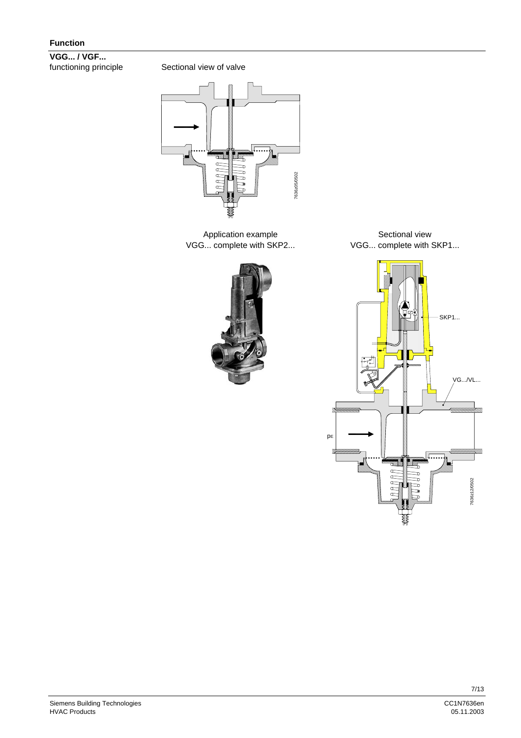**VGG... / VGF...**  functioning principle

Sectional view of valve



Application example VGG... complete with SKP2...



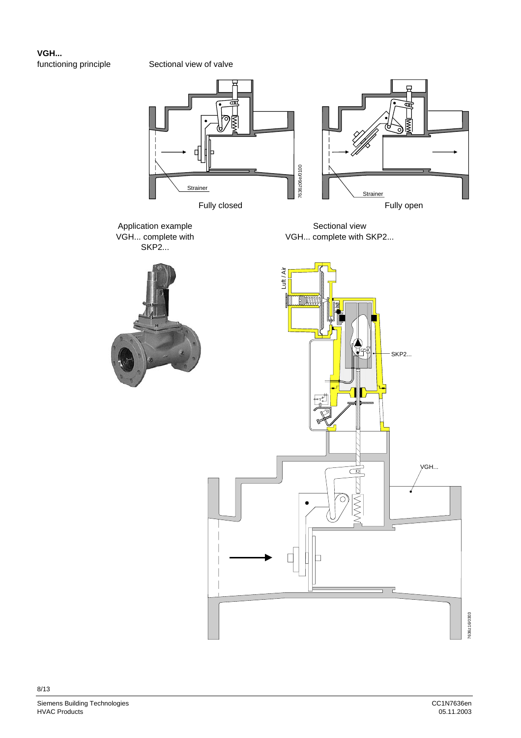**VGH...**  functioning principle

Sectional view of valve

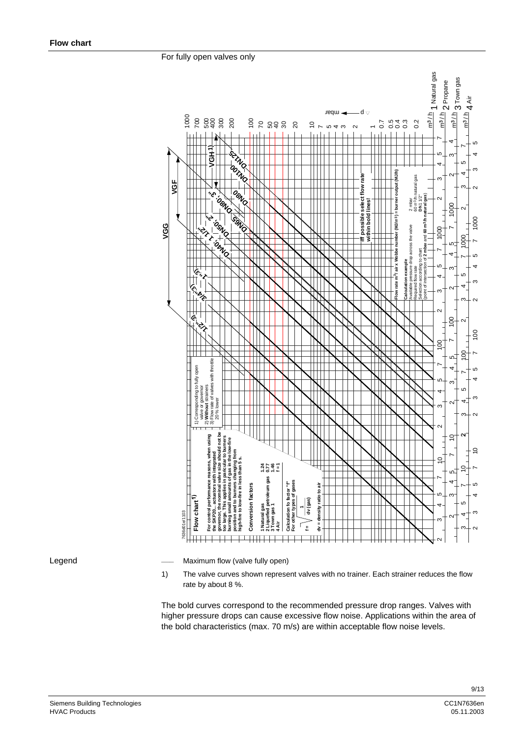For fully open valves only



Legend

Maximum flow (valve fully open)

1) The valve curves shown represent valves with no trainer. Each strainer reduces the flow rate by about 8 %.

The bold curves correspond to the recommended pressure drop ranges. Valves with higher pressure drops can cause excessive flow noise. Applications within the area of the bold characteristics (max. 70 m/s) are within acceptable flow noise levels.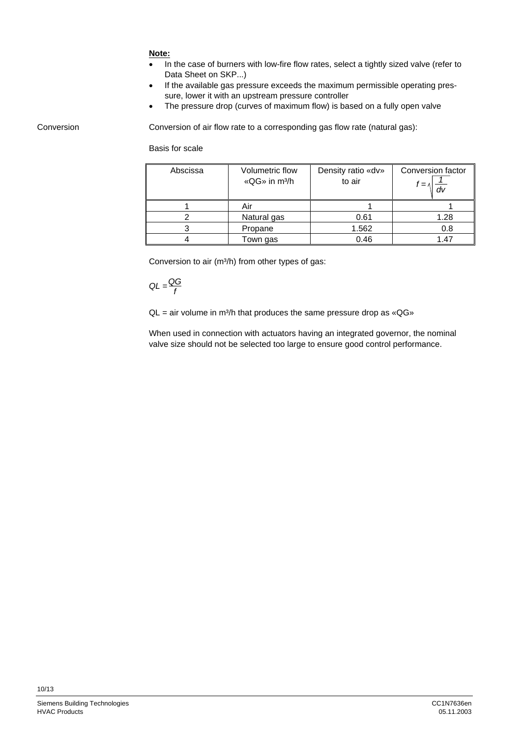#### **Note:**

- In the case of burners with low-fire flow rates, select a tightly sized valve (refer to Data Sheet on SKP...)
- If the available gas pressure exceeds the maximum permissible operating pressure, lower it with an upstream pressure controller
- The pressure drop (curves of maximum flow) is based on a fully open valve

Conversion

Conversion of air flow rate to a corresponding gas flow rate (natural gas):

Basis for scale

| Abscissa | Volumetric flow<br>«QG» in m <sup>3</sup> /h | Density ratio «dv»<br>to air | Conversion factor<br>$\mathsf{r}=\mathsf{\Lambda}$ |
|----------|----------------------------------------------|------------------------------|----------------------------------------------------|
|          | Air                                          |                              |                                                    |
|          | Natural gas                                  | 0.61                         | 1.28                                               |
|          | Propane                                      | 1.562                        | 0.8                                                |
|          | Town gas                                     | 0.46                         | 1.47                                               |

Conversion to air (m<sup>3</sup>/h) from other types of gas:

$$
QL = \frac{QG}{f}
$$

 $QL = air$  volume in m<sup>3</sup>/h that produces the same pressure drop as « $QG$ »

When used in connection with actuators having an integrated governor, the nominal valve size should not be selected too large to ensure good control performance.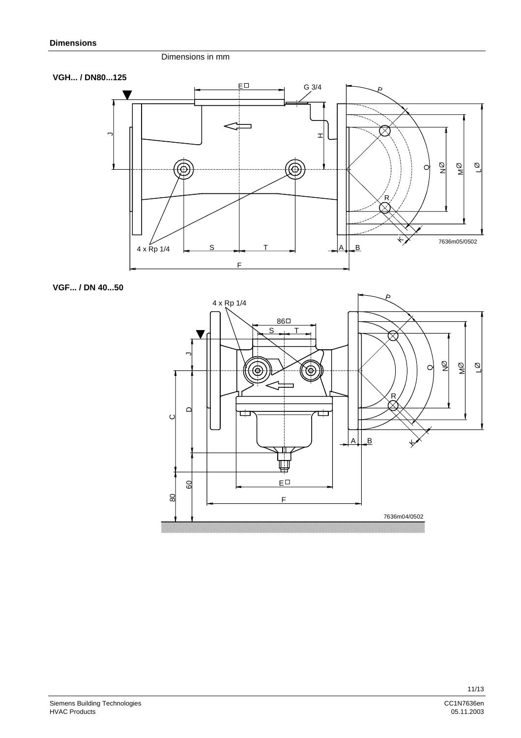#### Dimensions in mm



**VGF... / DN 40...50**

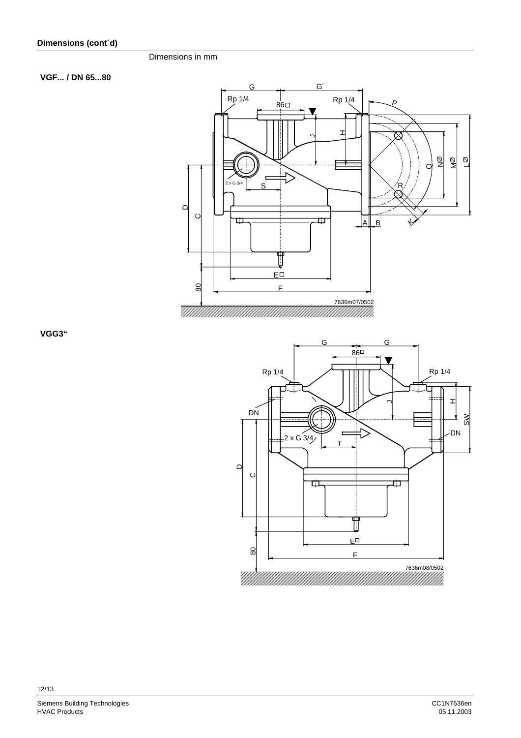#### Dimensions in mm

#### **VGF... / DN 65...80**



**VGG3"**